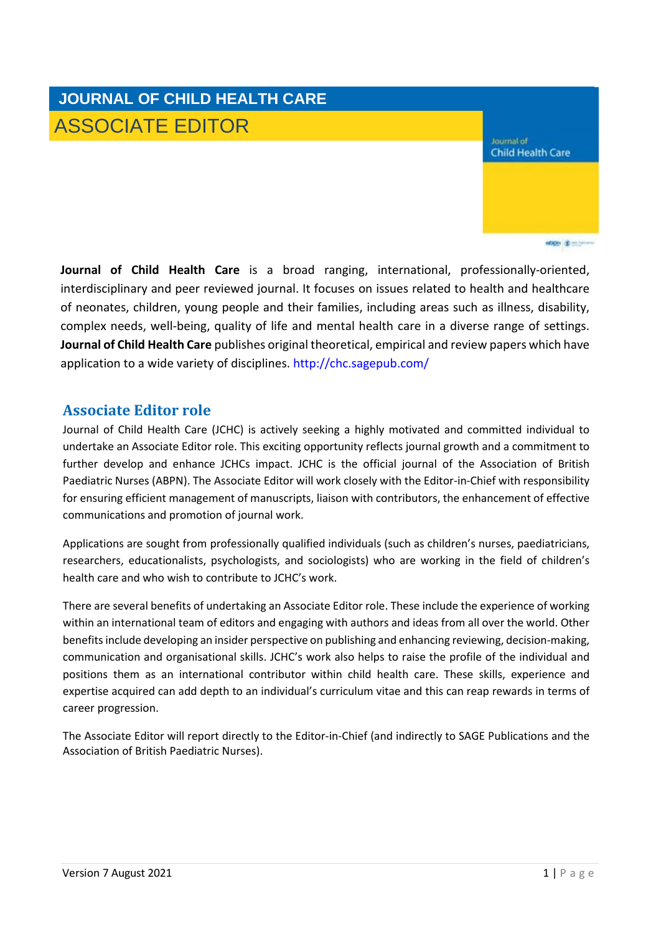# **JOURNAL OF CHILD HEALTH CARE** ASSOCIATE EDITOR

Journal of **Child Health Care** 

objet (\$ 200

**Journal of Child Health Care** is a broad ranging, international, professionally-oriented, interdisciplinary and peer reviewed journal. It focuses on issues related to health and healthcare of neonates, children, young people and their families, including areas such as illness, disability, complex needs, well-being, quality of life and mental health care in a diverse range of settings. **Journal of Child Health Care** publishes original theoretical, empirical and review papers which have application to a wide variety of disciplines. <http://chc.sagepub.com/>

#### **Associate Editor role**

Journal of Child Health Care (JCHC) is actively seeking a highly motivated and committed individual to undertake an Associate Editor role. This exciting opportunity reflects journal growth and a commitment to further develop and enhance JCHCs impact. JCHC is the official journal of the Association of British Paediatric Nurses (ABPN). The Associate Editor will work closely with the Editor-in-Chief with responsibility for ensuring efficient management of manuscripts, liaison with contributors, the enhancement of effective communications and promotion of journal work.

Applications are sought from professionally qualified individuals (such as children's nurses, paediatricians, researchers, educationalists, psychologists, and sociologists) who are working in the field of children's health care and who wish to contribute to JCHC's work.

There are several benefits of undertaking an Associate Editor role. These include the experience of working within an international team of editors and engaging with authors and ideas from all over the world. Other benefits include developing an insider perspective on publishing and enhancing reviewing, decision-making, communication and organisational skills. JCHC's work also helps to raise the profile of the individual and positions them as an international contributor within child health care. These skills, experience and expertise acquired can add depth to an individual's curriculum vitae and this can reap rewards in terms of career progression.

The Associate Editor will report directly to the Editor-in-Chief (and indirectly to SAGE Publications and the Association of British Paediatric Nurses).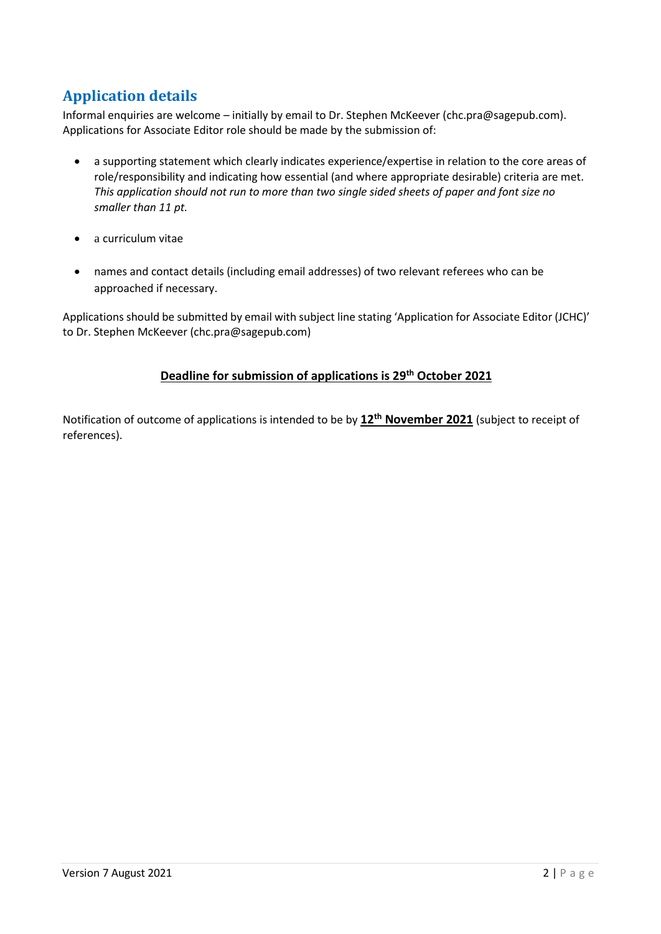## **Application details**

Informal enquiries are welcome – initially by email to Dr. Stephen McKeever [\(chc.pra@sagepub.com\)](mailto:chc.pra@sagepub.com). Applications for Associate Editor role should be made by the submission of:

- a supporting statement which clearly indicates experience/expertise in relation to the core areas of role/responsibility and indicating how essential (and where appropriate desirable) criteria are met. *This application should not run to more than two single sided sheets of paper and font size no smaller than 11 pt.*
- a curriculum vitae
- names and contact details (including email addresses) of two relevant referees who can be approached if necessary.

Applications should be submitted by email with subject line stating 'Application for Associate Editor (JCHC)' to Dr. Stephen McKeever [\(chc.pra@sagepub.com\)](mailto:chc.pra@sagepub.com)

#### **Deadline for submission of applications is 29 th October 2021**

Notification of outcome of applications is intended to be by **12 th November 2021** (subject to receipt of references).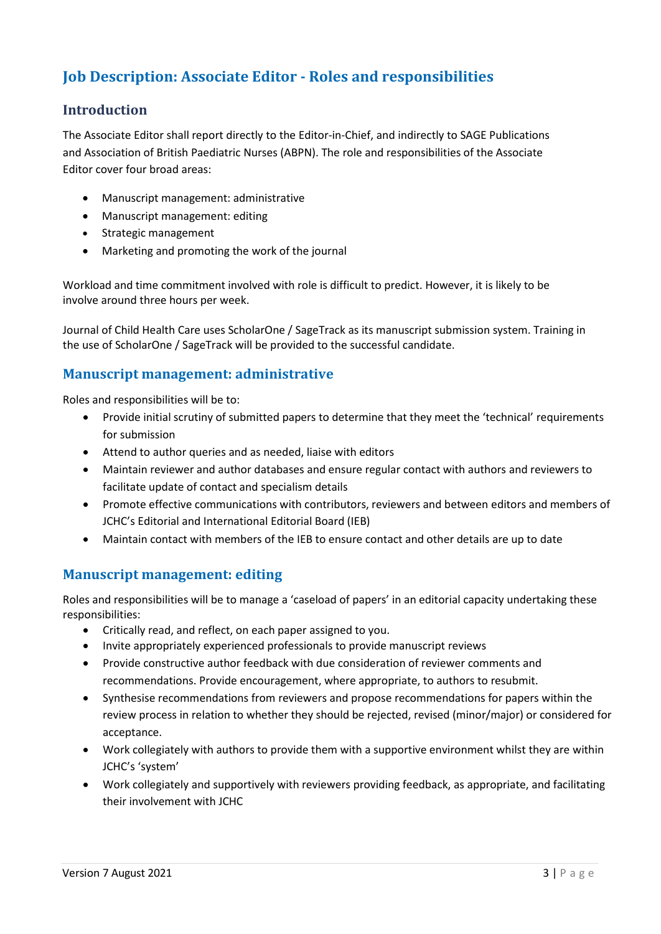### **Job Description: Associate Editor - Roles and responsibilities**

#### **Introduction**

The Associate Editor shall report directly to the Editor-in-Chief, and indirectly to SAGE Publications and Association of British Paediatric Nurses (ABPN). The role and responsibilities of the Associate Editor cover four broad areas:

- Manuscript management: administrative
- Manuscript management: editing
- Strategic management
- Marketing and promoting the work of the journal

Workload and time commitment involved with role is difficult to predict. However, it is likely to be involve around three hours per week.

Journal of Child Health Care uses ScholarOne / SageTrack as its manuscript submission system. Training in the use of ScholarOne / SageTrack will be provided to the successful candidate.

#### **Manuscript management: administrative**

Roles and responsibilities will be to:

- Provide initial scrutiny of submitted papers to determine that they meet the 'technical' requirements for submission
- Attend to author queries and as needed, liaise with editors
- Maintain reviewer and author databases and ensure regular contact with authors and reviewers to facilitate update of contact and specialism details
- Promote effective communications with contributors, reviewers and between editors and members of JCHC's Editorial and International Editorial Board (IEB)
- Maintain contact with members of the IEB to ensure contact and other details are up to date

#### **Manuscript management: editing**

Roles and responsibilities will be to manage a 'caseload of papers' in an editorial capacity undertaking these responsibilities:

- Critically read, and reflect, on each paper assigned to you.
- Invite appropriately experienced professionals to provide manuscript reviews
- Provide constructive author feedback with due consideration of reviewer comments and recommendations. Provide encouragement, where appropriate, to authors to resubmit.
- Synthesise recommendations from reviewers and propose recommendations for papers within the review process in relation to whether they should be rejected, revised (minor/major) or considered for acceptance.
- Work collegiately with authors to provide them with a supportive environment whilst they are within JCHC's 'system'
- Work collegiately and supportively with reviewers providing feedback, as appropriate, and facilitating their involvement with JCHC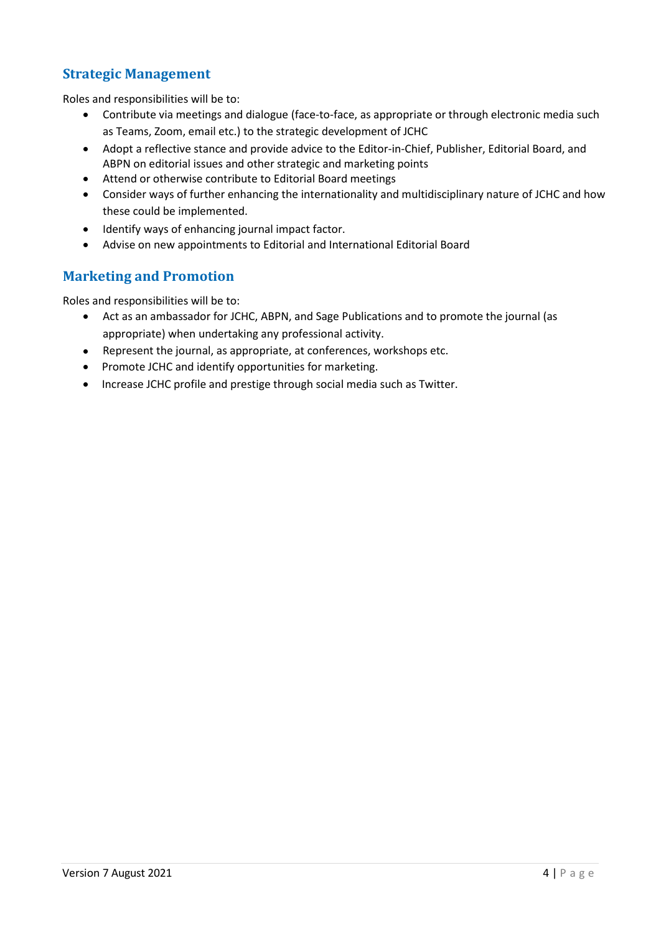#### **Strategic Management**

Roles and responsibilities will be to:

- Contribute via meetings and dialogue (face-to-face, as appropriate or through electronic media such as Teams, Zoom, email etc.) to the strategic development of JCHC
- Adopt a reflective stance and provide advice to the Editor-in-Chief, Publisher, Editorial Board, and ABPN on editorial issues and other strategic and marketing points
- Attend or otherwise contribute to Editorial Board meetings
- Consider ways of further enhancing the internationality and multidisciplinary nature of JCHC and how these could be implemented.
- Identify ways of enhancing journal impact factor.
- Advise on new appointments to Editorial and International Editorial Board

#### **Marketing and Promotion**

Roles and responsibilities will be to:

- Act as an ambassador for JCHC, ABPN, and Sage Publications and to promote the journal (as appropriate) when undertaking any professional activity.
- Represent the journal, as appropriate, at conferences, workshops etc.
- Promote JCHC and identify opportunities for marketing.
- Increase JCHC profile and prestige through social media such as Twitter.